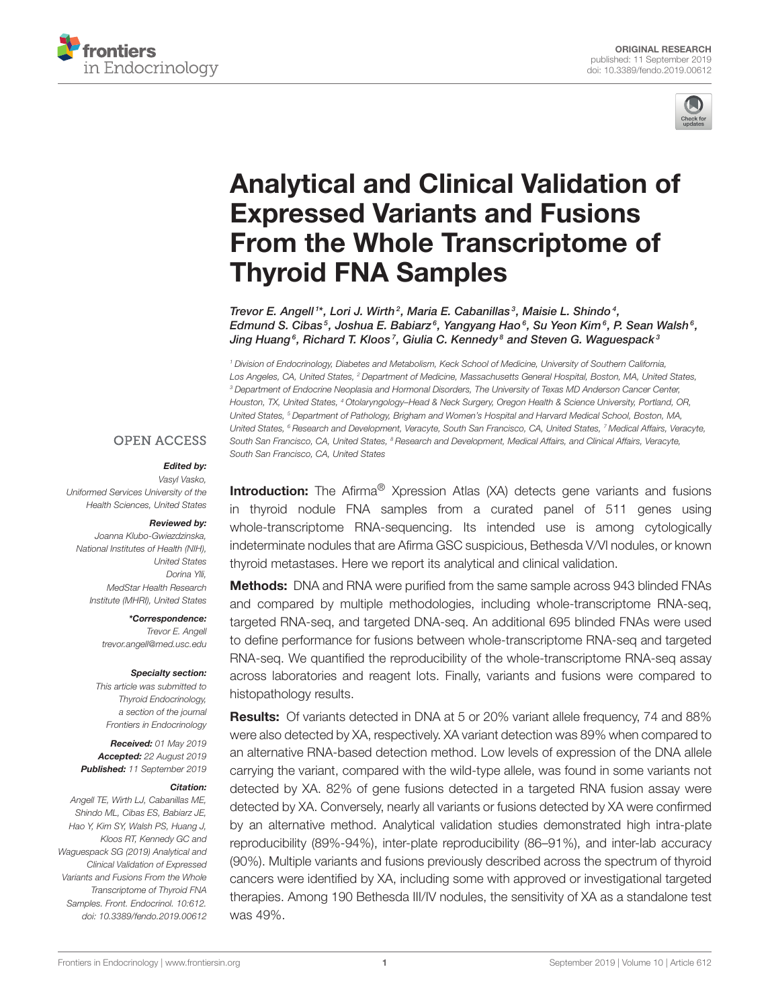



# [Analytical and Clinical Validation of](https://www.frontiersin.org/articles/10.3389/fendo.2019.00612/full) Expressed Variants and Fusions From the Whole Transcriptome of Thyroid FNA Samples

[Trevor E. Angell](http://loop.frontiersin.org/people/549978/overview)<sup>1\*</sup>, Lori J. Wirth<sup>2</sup>, Maria E. Cabanillas<sup>3</sup>, Maisie L. Shindo<sup>4</sup>, Edmund S. Cibas $^5$ , [Joshua E. Babiarz](http://loop.frontiersin.org/people/730316/overview) $^6$ , [Yangyang Hao](http://loop.frontiersin.org/people/471678/overview) $^6$ , Su Yeon Kim $^6$ , P. Sean Walsh $^6$ , Jing Huang $^6$ , [Richard T. Kloos](http://loop.frontiersin.org/people/729607/overview)  $^7$ , Giulia C. Kennedy  $^8$  and Steven G. Waguespack  $^3$ 

*<sup>1</sup> Division of Endocrinology, Diabetes and Metabolism, Keck School of Medicine, University of Southern California, Los Angeles, CA, United States, <sup>2</sup> Department of Medicine, Massachusetts General Hospital, Boston, MA, United States, <sup>3</sup> Department of Endocrine Neoplasia and Hormonal Disorders, The University of Texas MD Anderson Cancer Center, Houston, TX, United States, <sup>4</sup> Otolaryngology–Head & Neck Surgery, Oregon Health & Science University, Portland, OR, United States, <sup>5</sup> Department of Pathology, Brigham and Women's Hospital and Harvard Medical School, Boston, MA, United States, <sup>6</sup> Research and Development, Veracyte, South San Francisco, CA, United States, <sup>7</sup> Medical Affairs, Veracyte, South San Francisco, CA, United States, <sup>8</sup> Research and Development, Medical Affairs, and Clinical Affairs, Veracyte, South San Francisco, CA, United States*

#### **OPEN ACCESS**

#### Edited by:

*Vasyl Vasko, Uniformed Services University of the Health Sciences, United States*

#### Reviewed by:

*Joanna Klubo-Gwiezdzinska, National Institutes of Health (NIH), United States Dorina Ylli, MedStar Health Research Institute (MHRI), United States*

> \*Correspondence: *Trevor E. Angell [trevor.angell@med.usc.edu](mailto:trevor.angell@med.usc.edu)*

#### Specialty section:

*This article was submitted to Thyroid Endocrinology, a section of the journal Frontiers in Endocrinology*

Received: *01 May 2019* Accepted: *22 August 2019* Published: *11 September 2019*

#### Citation:

*Angell TE, Wirth LJ, Cabanillas ME, Shindo ML, Cibas ES, Babiarz JE, Hao Y, Kim SY, Walsh PS, Huang J, Kloos RT, Kennedy GC and Waguespack SG (2019) Analytical and Clinical Validation of Expressed Variants and Fusions From the Whole Transcriptome of Thyroid FNA Samples. Front. Endocrinol. 10:612. doi: [10.3389/fendo.2019.00612](https://doi.org/10.3389/fendo.2019.00612)*

Introduction: The Afirma<sup>®</sup> Xpression Atlas (XA) detects gene variants and fusions in thyroid nodule FNA samples from a curated panel of 511 genes using whole-transcriptome RNA-sequencing. Its intended use is among cytologically indeterminate nodules that are Afirma GSC suspicious, Bethesda V/VI nodules, or known thyroid metastases. Here we report its analytical and clinical validation.

Methods: DNA and RNA were purified from the same sample across 943 blinded FNAs and compared by multiple methodologies, including whole-transcriptome RNA-seq, targeted RNA-seq, and targeted DNA-seq. An additional 695 blinded FNAs were used to define performance for fusions between whole-transcriptome RNA-seq and targeted RNA-seq. We quantified the reproducibility of the whole-transcriptome RNA-seq assay across laboratories and reagent lots. Finally, variants and fusions were compared to histopathology results.

Results: Of variants detected in DNA at 5 or 20% variant allele frequency, 74 and 88% were also detected by XA, respectively. XA variant detection was 89% when compared to an alternative RNA-based detection method. Low levels of expression of the DNA allele carrying the variant, compared with the wild-type allele, was found in some variants not detected by XA. 82% of gene fusions detected in a targeted RNA fusion assay were detected by XA. Conversely, nearly all variants or fusions detected by XA were confirmed by an alternative method. Analytical validation studies demonstrated high intra-plate reproducibility (89%-94%), inter-plate reproducibility (86–91%), and inter-lab accuracy (90%). Multiple variants and fusions previously described across the spectrum of thyroid cancers were identified by XA, including some with approved or investigational targeted therapies. Among 190 Bethesda III/IV nodules, the sensitivity of XA as a standalone test was 49%.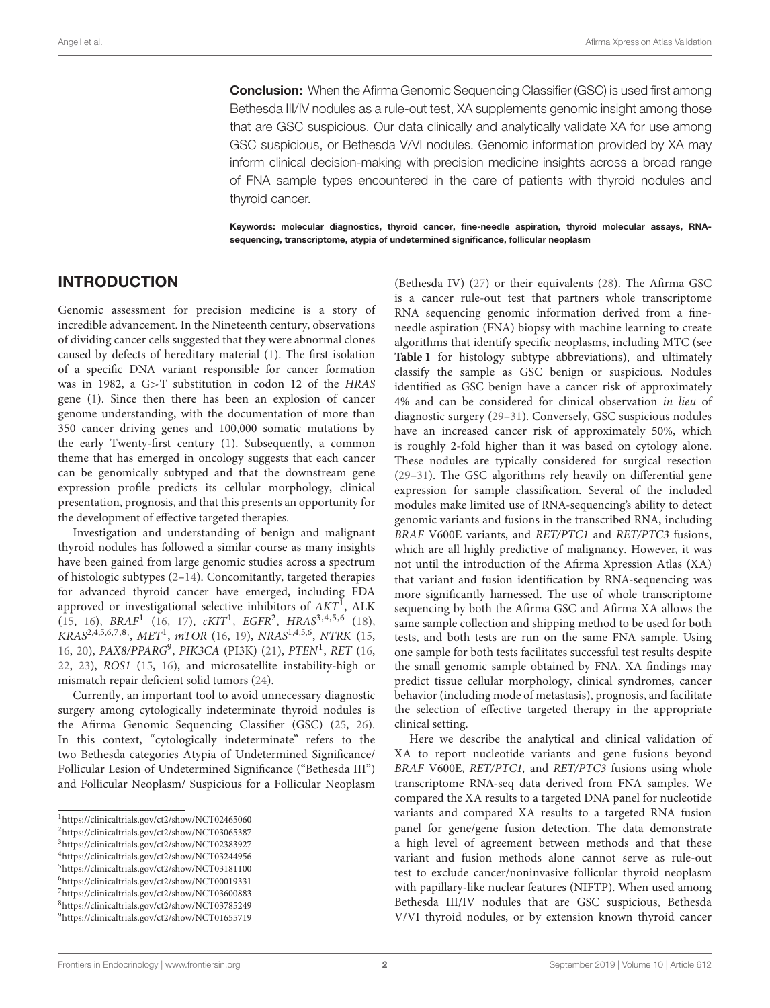**Conclusion:** When the Afirma Genomic Sequencing Classifier (GSC) is used first among Bethesda III/IV nodules as a rule-out test, XA supplements genomic insight among those that are GSC suspicious. Our data clinically and analytically validate XA for use among GSC suspicious, or Bethesda V/VI nodules. Genomic information provided by XA may inform clinical decision-making with precision medicine insights across a broad range of FNA sample types encountered in the care of patients with thyroid nodules and thyroid cancer.

Keywords: molecular diagnostics, thyroid cancer, fine-needle aspiration, thyroid molecular assays, RNAsequencing, transcriptome, atypia of undetermined significance, follicular neoplasm

#### INTRODUCTION

Genomic assessment for precision medicine is a story of incredible advancement. In the Nineteenth century, observations of dividing cancer cells suggested that they were abnormal clones caused by defects of hereditary material [\(1\)](#page-10-0). The first isolation of a specific DNA variant responsible for cancer formation was in 1982, a G>T substitution in codon 12 of the HRAS gene [\(1\)](#page-10-0). Since then there has been an explosion of cancer genome understanding, with the documentation of more than 350 cancer driving genes and 100,000 somatic mutations by the early Twenty-first century [\(1\)](#page-10-0). Subsequently, a common theme that has emerged in oncology suggests that each cancer can be genomically subtyped and that the downstream gene expression profile predicts its cellular morphology, clinical presentation, prognosis, and that this presents an opportunity for the development of effective targeted therapies.

Investigation and understanding of benign and malignant thyroid nodules has followed a similar course as many insights have been gained from large genomic studies across a spectrum of histologic subtypes [\(2–](#page-10-1)[14\)](#page-10-2). Concomitantly, targeted therapies for advanced thyroid cancer have emerged, including FDA approved or investigational selective inhibitors of  $AKT<sup>1</sup>$  $AKT<sup>1</sup>$  $AKT<sup>1</sup>$ , ALK  $(15, 16)$  $(15, 16)$  $(15, 16)$ ,  $BRAF<sup>1</sup>$   $(16, 17)$  $(16, 17)$  $(16, 17)$ ,  $cKIT<sup>1</sup>$ ,  $EGFR<sup>2</sup>$  $EGFR<sup>2</sup>$  $EGFR<sup>2</sup>$ ,  $HRAS<sup>3,4,5,6</sup>$  $HRAS<sup>3,4,5,6</sup>$  $HRAS<sup>3,4,5,6</sup>$  $HRAS<sup>3,4,5,6</sup>$  $HRAS<sup>3,4,5,6</sup>$  $HRAS<sup>3,4,5,6</sup>$   $(18)$ , KRAS<sup>2,4,5,6[,7,](#page-1-6)8</sup>, MET<sup>1</sup>, mTOR [\(16,](#page-10-4) [19\)](#page-10-7), NRAS<sup>1,4,5,6</sup>, NTRK [\(15,](#page-10-3) [16,](#page-10-4) [20\)](#page-10-8), PAX8/PPARG<sup>[9](#page-1-8)</sup>, PIK3CA (PI3K) [\(21\)](#page-10-9), PTEN<sup>1</sup>, RET [\(16,](#page-10-4) [22,](#page-10-10) [23\)](#page-10-11), ROS1 [\(15,](#page-10-3) [16\)](#page-10-4), and microsatellite instability-high or mismatch repair deficient solid tumors [\(24\)](#page-10-12).

Currently, an important tool to avoid unnecessary diagnostic surgery among cytologically indeterminate thyroid nodules is the Afirma Genomic Sequencing Classifier (GSC) [\(25,](#page-10-13) [26\)](#page-10-14). In this context, "cytologically indeterminate" refers to the two Bethesda categories Atypia of Undetermined Significance/ Follicular Lesion of Undetermined Significance ("Bethesda III") and Follicular Neoplasm/ Suspicious for a Follicular Neoplasm

<span id="page-1-4"></span>

(Bethesda IV) [\(27\)](#page-10-15) or their equivalents [\(28\)](#page-10-16). The Afirma GSC is a cancer rule-out test that partners whole transcriptome RNA sequencing genomic information derived from a fineneedle aspiration (FNA) biopsy with machine learning to create algorithms that identify specific neoplasms, including MTC (see **[Table 1](#page-2-0)** for histology subtype abbreviations), and ultimately classify the sample as GSC benign or suspicious. Nodules identified as GSC benign have a cancer risk of approximately 4% and can be considered for clinical observation in lieu of diagnostic surgery [\(29–](#page-10-17)[31\)](#page-10-18). Conversely, GSC suspicious nodules have an increased cancer risk of approximately 50%, which is roughly 2-fold higher than it was based on cytology alone. These nodules are typically considered for surgical resection [\(29](#page-10-17)[–31\)](#page-10-18). The GSC algorithms rely heavily on differential gene expression for sample classification. Several of the included modules make limited use of RNA-sequencing's ability to detect genomic variants and fusions in the transcribed RNA, including BRAF V600E variants, and RET/PTC1 and RET/PTC3 fusions, which are all highly predictive of malignancy. However, it was not until the introduction of the Afirma Xpression Atlas (XA) that variant and fusion identification by RNA-sequencing was more significantly harnessed. The use of whole transcriptome sequencing by both the Afirma GSC and Afirma XA allows the same sample collection and shipping method to be used for both tests, and both tests are run on the same FNA sample. Using one sample for both tests facilitates successful test results despite the small genomic sample obtained by FNA. XA findings may predict tissue cellular morphology, clinical syndromes, cancer behavior (including mode of metastasis), prognosis, and facilitate the selection of effective targeted therapy in the appropriate clinical setting.

Here we describe the analytical and clinical validation of XA to report nucleotide variants and gene fusions beyond BRAF V600E, RET/PTC1, and RET/PTC3 fusions using whole transcriptome RNA-seq data derived from FNA samples. We compared the XA results to a targeted DNA panel for nucleotide variants and compared XA results to a targeted RNA fusion panel for gene/gene fusion detection. The data demonstrate a high level of agreement between methods and that these variant and fusion methods alone cannot serve as rule-out test to exclude cancer/noninvasive follicular thyroid neoplasm with papillary-like nuclear features (NIFTP). When used among Bethesda III/IV nodules that are GSC suspicious, Bethesda V/VI thyroid nodules, or by extension known thyroid cancer

<span id="page-1-0"></span><sup>1</sup><https://clinicaltrials.gov/ct2/show/NCT02465060>

<span id="page-1-1"></span><sup>2</sup><https://clinicaltrials.gov/ct2/show/NCT03065387>

<span id="page-1-3"></span><span id="page-1-2"></span><sup>3</sup><https://clinicaltrials.gov/ct2/show/NCT02383927> <sup>4</sup><https://clinicaltrials.gov/ct2/show/NCT03244956>

<span id="page-1-5"></span><sup>5</sup><https://clinicaltrials.gov/ct2/show/NCT03181100> <sup>6</sup><https://clinicaltrials.gov/ct2/show/NCT00019331>

<span id="page-1-6"></span><sup>7</sup><https://clinicaltrials.gov/ct2/show/NCT03600883>

<span id="page-1-7"></span><sup>8</sup><https://clinicaltrials.gov/ct2/show/NCT03785249>

<span id="page-1-8"></span><sup>9</sup><https://clinicaltrials.gov/ct2/show/NCT01655719>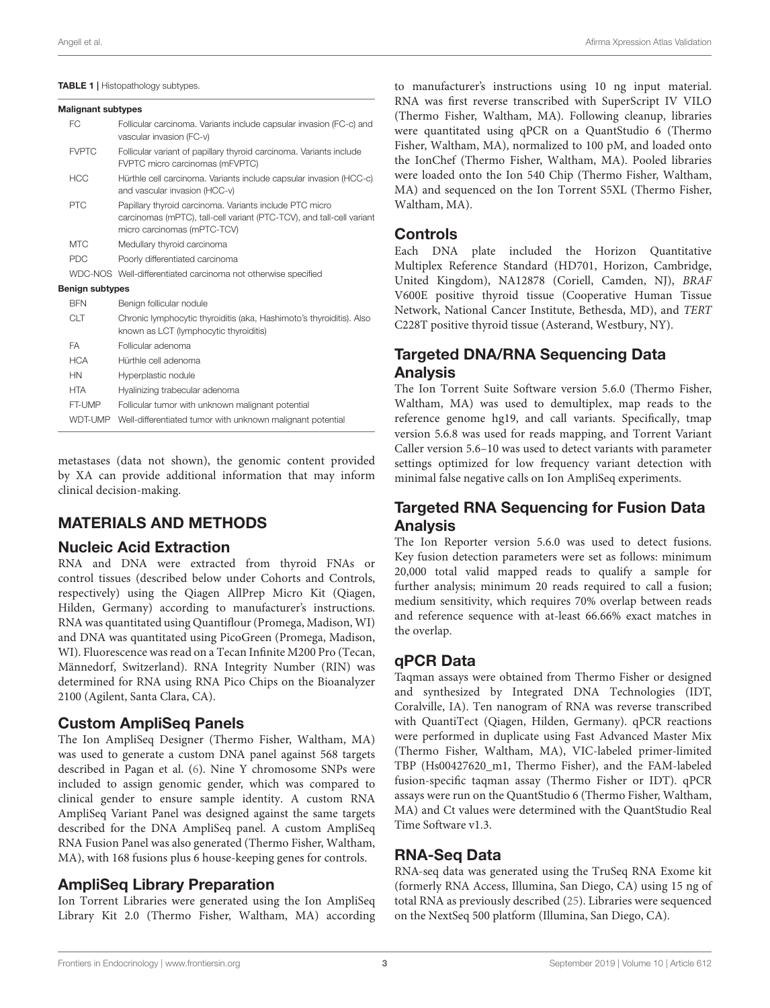#### <span id="page-2-0"></span>TABLE 1 | Histopathology subtypes.

#### Malignant subtypes

| FC.                    | Follicular carcinoma. Variants include capsular invasion (FC-c) and<br>vascular invasion (FC-v)                                                                 |
|------------------------|-----------------------------------------------------------------------------------------------------------------------------------------------------------------|
| <b>FVPTC</b>           | Follicular variant of papillary thyroid carcinoma. Variants include<br>FVPTC micro carcinomas (mFVPTC)                                                          |
| <b>HCC</b>             | Hürthle cell carcinoma. Variants include capsular invasion (HCC-c)<br>and vascular invasion (HCC-v)                                                             |
| <b>PTC</b>             | Papillary thyroid carcinoma. Variants include PTC micro<br>carcinomas (mPTC), tall-cell variant (PTC-TCV), and tall-cell variant<br>micro carcinomas (mPTC-TCV) |
| <b>MTC</b>             | Medullary thyroid carcinoma                                                                                                                                     |
| <b>PDC</b>             | Poorly differentiated carcinoma                                                                                                                                 |
|                        | WDC-NOS Well-differentiated carcinoma not otherwise specified                                                                                                   |
| <b>Benign subtypes</b> |                                                                                                                                                                 |
| <b>BFN</b>             | Benign follicular nodule                                                                                                                                        |
| <b>CLT</b>             | Chronic lymphocytic thyroiditis (aka, Hashimoto's thyroiditis). Also<br>known as LCT (lymphocytic thyroiditis)                                                  |
| <b>FA</b>              | Follicular adenoma                                                                                                                                              |
| <b>HCA</b>             | Hürthle cell adenoma                                                                                                                                            |
| <b>HN</b>              | Hyperplastic nodule                                                                                                                                             |
| <b>HTA</b>             | Hyalinizing trabecular adenoma                                                                                                                                  |
| FT-UMP                 | Follicular tumor with unknown malignant potential                                                                                                               |
| <b>WDT-UMP</b>         | Well-differentiated tumor with unknown malignant potential                                                                                                      |

metastases (data not shown), the genomic content provided by XA can provide additional information that may inform clinical decision-making.

### MATERIALS AND METHODS

#### Nucleic Acid Extraction

RNA and DNA were extracted from thyroid FNAs or control tissues (described below under Cohorts and Controls, respectively) using the Qiagen AllPrep Micro Kit (Qiagen, Hilden, Germany) according to manufacturer's instructions. RNA was quantitated using Quantiflour (Promega, Madison, WI) and DNA was quantitated using PicoGreen (Promega, Madison, WI). Fluorescence was read on a Tecan Infinite M200 Pro (Tecan, Männedorf, Switzerland). RNA Integrity Number (RIN) was determined for RNA using RNA Pico Chips on the Bioanalyzer 2100 (Agilent, Santa Clara, CA).

#### Custom AmpliSeq Panels

The Ion AmpliSeq Designer (Thermo Fisher, Waltham, MA) was used to generate a custom DNA panel against 568 targets described in Pagan et al. [\(6\)](#page-10-19). Nine Y chromosome SNPs were included to assign genomic gender, which was compared to clinical gender to ensure sample identity. A custom RNA AmpliSeq Variant Panel was designed against the same targets described for the DNA AmpliSeq panel. A custom AmpliSeq RNA Fusion Panel was also generated (Thermo Fisher, Waltham, MA), with 168 fusions plus 6 house-keeping genes for controls.

### AmpliSeq Library Preparation

Ion Torrent Libraries were generated using the Ion AmpliSeq Library Kit 2.0 (Thermo Fisher, Waltham, MA) according to manufacturer's instructions using 10 ng input material. RNA was first reverse transcribed with SuperScript IV VILO (Thermo Fisher, Waltham, MA). Following cleanup, libraries were quantitated using qPCR on a QuantStudio 6 (Thermo Fisher, Waltham, MA), normalized to 100 pM, and loaded onto the IonChef (Thermo Fisher, Waltham, MA). Pooled libraries were loaded onto the Ion 540 Chip (Thermo Fisher, Waltham, MA) and sequenced on the Ion Torrent S5XL (Thermo Fisher, Waltham, MA).

# **Controls**

Each DNA plate included the Horizon Quantitative Multiplex Reference Standard (HD701, Horizon, Cambridge, United Kingdom), NA12878 (Coriell, Camden, NJ), BRAF V600E positive thyroid tissue (Cooperative Human Tissue Network, National Cancer Institute, Bethesda, MD), and TERT C228T positive thyroid tissue (Asterand, Westbury, NY).

# **Targeted DNA/RNA Sequencing Data** Analysis

The Ion Torrent Suite Software version 5.6.0 (Thermo Fisher, Waltham, MA) was used to demultiplex, map reads to the reference genome hg19, and call variants. Specifically, tmap version 5.6.8 was used for reads mapping, and Torrent Variant Caller version 5.6–10 was used to detect variants with parameter settings optimized for low frequency variant detection with minimal false negative calls on Ion AmpliSeq experiments.

# Targeted RNA Sequencing for Fusion Data Analysis

The Ion Reporter version 5.6.0 was used to detect fusions. Key fusion detection parameters were set as follows: minimum 20,000 total valid mapped reads to qualify a sample for further analysis; minimum 20 reads required to call a fusion; medium sensitivity, which requires 70% overlap between reads and reference sequence with at-least 66.66% exact matches in the overlap.

# qPCR Data

Taqman assays were obtained from Thermo Fisher or designed and synthesized by Integrated DNA Technologies (IDT, Coralville, IA). Ten nanogram of RNA was reverse transcribed with QuantiTect (Qiagen, Hilden, Germany). qPCR reactions were performed in duplicate using Fast Advanced Master Mix (Thermo Fisher, Waltham, MA), VIC-labeled primer-limited TBP (Hs00427620\_m1, Thermo Fisher), and the FAM-labeled fusion-specific taqman assay (Thermo Fisher or IDT). qPCR assays were run on the QuantStudio 6 (Thermo Fisher, Waltham, MA) and Ct values were determined with the QuantStudio Real Time Software v1.3.

### RNA-Seq Data

RNA-seq data was generated using the TruSeq RNA Exome kit (formerly RNA Access, Illumina, San Diego, CA) using 15 ng of total RNA as previously described [\(25\)](#page-10-13). Libraries were sequenced on the NextSeq 500 platform (Illumina, San Diego, CA).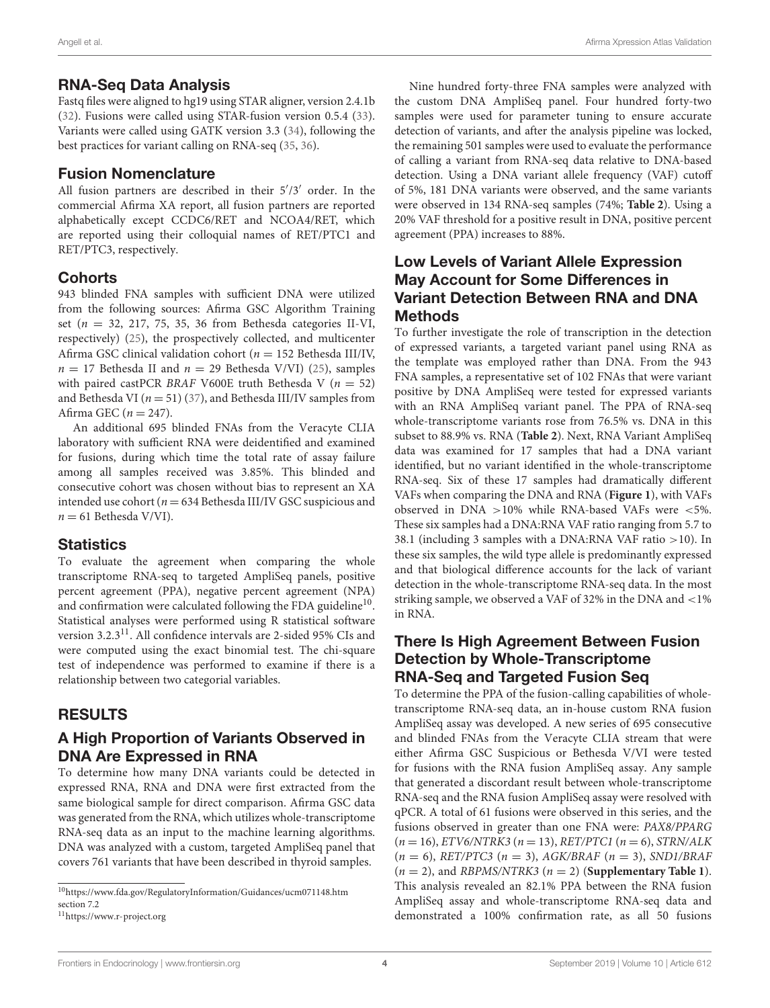#### RNA-Seq Data Analysis

Fastq files were aligned to hg19 using STAR aligner, version 2.4.1b [\(32\)](#page-10-20). Fusions were called using STAR-fusion version 0.5.4 [\(33\)](#page-10-21). Variants were called using GATK version 3.3 [\(34\)](#page-10-22), following the best practices for variant calling on RNA-seq [\(35,](#page-10-23) [36\)](#page-10-24).

### Fusion Nomenclature

All fusion partners are described in their  $5'/3'$  order. In the commercial Afirma XA report, all fusion partners are reported alphabetically except CCDC6/RET and NCOA4/RET, which are reported using their colloquial names of RET/PTC1 and RET/PTC3, respectively.

### **Cohorts**

943 blinded FNA samples with sufficient DNA were utilized from the following sources: Afirma GSC Algorithm Training set ( $n = 32, 217, 75, 35, 36$  from Bethesda categories II-VI, respectively) [\(25\)](#page-10-13), the prospectively collected, and multicenter Afirma GSC clinical validation cohort ( $n = 152$  Bethesda III/IV,  $n = 17$  Bethesda II and  $n = 29$  Bethesda V/VI) [\(25\)](#page-10-13), samples with paired castPCR BRAF V600E truth Bethesda V ( $n = 52$ ) and Bethesda VI ( $n = 51$ ) [\(37\)](#page-10-25), and Bethesda III/IV samples from Afirma GEC ( $n = 247$ ).

An additional 695 blinded FNAs from the Veracyte CLIA laboratory with sufficient RNA were deidentified and examined for fusions, during which time the total rate of assay failure among all samples received was 3.85%. This blinded and consecutive cohort was chosen without bias to represent an XA intended use cohort ( $n = 634$  Bethesda III/IV GSC suspicious and  $n = 61$  Bethesda V/VI).

### **Statistics**

To evaluate the agreement when comparing the whole transcriptome RNA-seq to targeted AmpliSeq panels, positive percent agreement (PPA), negative percent agreement (NPA) and confirmation were calculated following the FDA guideline<sup>[10](#page-3-0)</sup>. Statistical analyses were performed using R statistical software version 3.2.3<sup>[11](#page-3-1)</sup>. All confidence intervals are 2-sided 95% CIs and were computed using the exact binomial test. The chi-square test of independence was performed to examine if there is a relationship between two categorial variables.

# RESULTS

### A High Proportion of Variants Observed in DNA Are Expressed in RNA

To determine how many DNA variants could be detected in expressed RNA, RNA and DNA were first extracted from the same biological sample for direct comparison. Afirma GSC data was generated from the RNA, which utilizes whole-transcriptome RNA-seq data as an input to the machine learning algorithms. DNA was analyzed with a custom, targeted AmpliSeq panel that covers 761 variants that have been described in thyroid samples.

Nine hundred forty-three FNA samples were analyzed with the custom DNA AmpliSeq panel. Four hundred forty-two samples were used for parameter tuning to ensure accurate detection of variants, and after the analysis pipeline was locked, the remaining 501 samples were used to evaluate the performance of calling a variant from RNA-seq data relative to DNA-based detection. Using a DNA variant allele frequency (VAF) cutoff of 5%, 181 DNA variants were observed, and the same variants were observed in 134 RNA-seq samples (74%; **[Table 2](#page-4-0)**). Using a 20% VAF threshold for a positive result in DNA, positive percent agreement (PPA) increases to 88%.

#### Low Levels of Variant Allele Expression May Account for Some Differences in Variant Detection Between RNA and DNA **Methods**

To further investigate the role of transcription in the detection of expressed variants, a targeted variant panel using RNA as the template was employed rather than DNA. From the 943 FNA samples, a representative set of 102 FNAs that were variant positive by DNA AmpliSeq were tested for expressed variants with an RNA AmpliSeq variant panel. The PPA of RNA-seq whole-transcriptome variants rose from 76.5% vs. DNA in this subset to 88.9% vs. RNA (**[Table 2](#page-4-0)**). Next, RNA Variant AmpliSeq data was examined for 17 samples that had a DNA variant identified, but no variant identified in the whole-transcriptome RNA-seq. Six of these 17 samples had dramatically different VAFs when comparing the DNA and RNA (**[Figure 1](#page-4-1)**), with VAFs observed in DNA  $>10\%$  while RNA-based VAFs were <5%. These six samples had a DNA:RNA VAF ratio ranging from 5.7 to 38.1 (including 3 samples with a DNA:RNA VAF ratio >10). In these six samples, the wild type allele is predominantly expressed and that biological difference accounts for the lack of variant detection in the whole-transcriptome RNA-seq data. In the most striking sample, we observed a VAF of 32% in the DNA and <1% in RNA.

#### There Is High Agreement Between Fusion Detection by Whole-Transcriptome RNA-Seq and Targeted Fusion Seq

To determine the PPA of the fusion-calling capabilities of wholetranscriptome RNA-seq data, an in-house custom RNA fusion AmpliSeq assay was developed. A new series of 695 consecutive and blinded FNAs from the Veracyte CLIA stream that were either Afirma GSC Suspicious or Bethesda V/VI were tested for fusions with the RNA fusion AmpliSeq assay. Any sample that generated a discordant result between whole-transcriptome RNA-seq and the RNA fusion AmpliSeq assay were resolved with qPCR. A total of 61 fusions were observed in this series, and the fusions observed in greater than one FNA were: PAX8/PPARG  $(n = 16)$ , ETV6/NTRK3  $(n = 13)$ , RET/PTC1  $(n = 6)$ , STRN/ALK  $(n = 6)$ , RET/PTC3  $(n = 3)$ , AGK/BRAF  $(n = 3)$ , SND1/BRAF  $(n = 2)$ , and *RBPMS/NTRK3*  $(n = 2)$  (**[Supplementary Table 1](#page-9-0)**). This analysis revealed an 82.1% PPA between the RNA fusion AmpliSeq assay and whole-transcriptome RNA-seq data and demonstrated a 100% confirmation rate, as all 50 fusions

<span id="page-3-0"></span> $^{10}\mathrm{https://www.fda.gov/RegulatoryInformation/Guidances/ucm071148.htm}$  $^{10}\mathrm{https://www.fda.gov/RegulatoryInformation/Guidances/ucm071148.htm}$  $^{10}\mathrm{https://www.fda.gov/RegulatoryInformation/Guidances/ucm071148.htm}$ section 7.2

<span id="page-3-1"></span><sup>11</sup><https://www.r-project.org>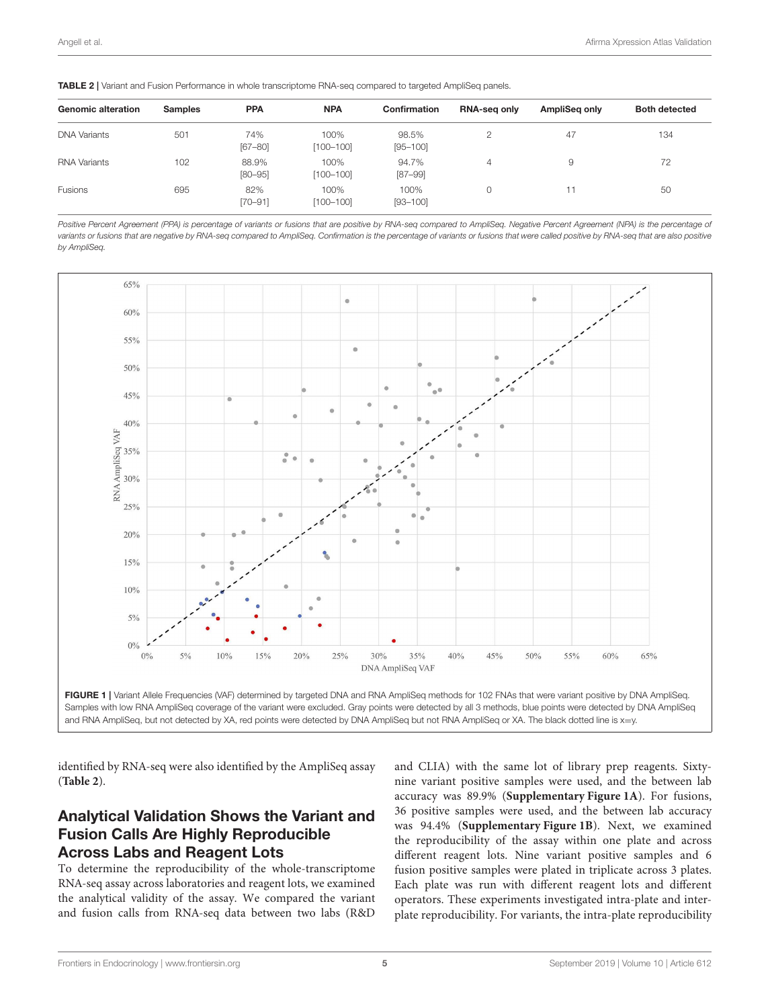<span id="page-4-0"></span>

| <b>Genomic alteration</b> | <b>Samples</b> | <b>PPA</b>           | <b>NPA</b>            | <b>Confirmation</b>   | <b>RNA-seg only</b> | AmpliSeg only | <b>Both detected</b> |
|---------------------------|----------------|----------------------|-----------------------|-----------------------|---------------------|---------------|----------------------|
|                           |                |                      |                       |                       |                     |               |                      |
| <b>DNA Variants</b>       | 501            | 74%<br>$[67 - 80]$   | 100%<br>$[100 - 100]$ | 98.5%<br>$[95 - 100]$ | 2                   | 47            | 134                  |
| <b>RNA Variants</b>       | 102            | 88.9%<br>$[80 - 95]$ | 100%<br>$[100 - 100]$ | 94.7%<br>$[87 - 99]$  | 4                   | 9             | 72                   |
| Fusions                   | 695            | 82%<br>$[70 - 91]$   | 100%<br>$[100 - 100]$ | 100%<br>$[93 - 100]$  | $\Omega$            |               | 50                   |

*Positive Percent Agreement (PPA) is percentage of variants or fusions that are positive by RNA-seq compared to AmpliSeq. Negative Percent Agreement (NPA) is the percentage of variants or fusions that are negative by RNA-seq compared to AmpliSeq. Confirmation is the percentage of variants or fusions that were called positive by RNA-seq that are also positive by AmpliSeq.*



<span id="page-4-1"></span>

identified by RNA-seq were also identified by the AmpliSeq assay (**[Table 2](#page-4-0)**).

# Analytical Validation Shows the Variant and Fusion Calls Are Highly Reproducible Across Labs and Reagent Lots

To determine the reproducibility of the whole-transcriptome RNA-seq assay across laboratories and reagent lots, we examined the analytical validity of the assay. We compared the variant and fusion calls from RNA-seq data between two labs (R&D and CLIA) with the same lot of library prep reagents. Sixtynine variant positive samples were used, and the between lab accuracy was 89.9% (**[Supplementary Figure 1A](#page-9-0)**). For fusions, 36 positive samples were used, and the between lab accuracy was 94.4% (**[Supplementary Figure 1B](#page-9-0)**). Next, we examined the reproducibility of the assay within one plate and across different reagent lots. Nine variant positive samples and 6 fusion positive samples were plated in triplicate across 3 plates. Each plate was run with different reagent lots and different operators. These experiments investigated intra-plate and interplate reproducibility. For variants, the intra-plate reproducibility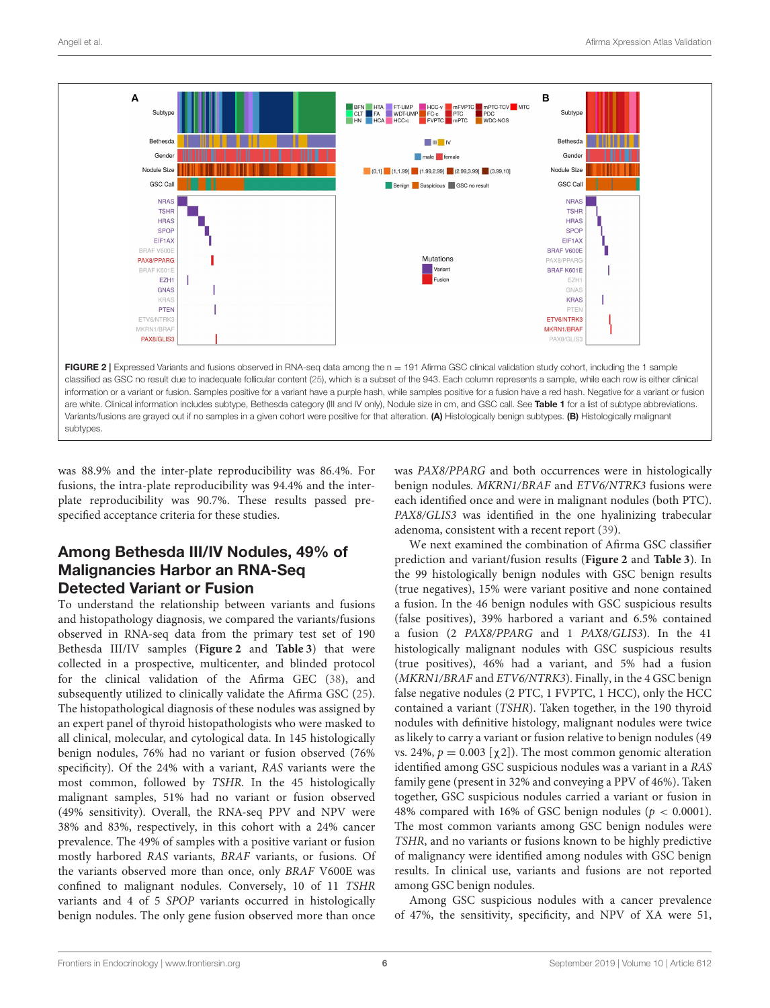

<span id="page-5-0"></span>was 88.9% and the inter-plate reproducibility was 86.4%. For fusions, the intra-plate reproducibility was 94.4% and the interplate reproducibility was 90.7%. These results passed prespecified acceptance criteria for these studies.

# Among Bethesda III/IV Nodules, 49% of Malignancies Harbor an RNA-Seq Detected Variant or Fusion

To understand the relationship between variants and fusions and histopathology diagnosis, we compared the variants/fusions observed in RNA-seq data from the primary test set of 190 Bethesda III/IV samples (**[Figure 2](#page-5-0)** and **[Table 3](#page-6-0)**) that were collected in a prospective, multicenter, and blinded protocol for the clinical validation of the Afirma GEC [\(38\)](#page-10-26), and subsequently utilized to clinically validate the Afirma GSC [\(25\)](#page-10-13). The histopathological diagnosis of these nodules was assigned by an expert panel of thyroid histopathologists who were masked to all clinical, molecular, and cytological data. In 145 histologically benign nodules, 76% had no variant or fusion observed (76% specificity). Of the 24% with a variant, RAS variants were the most common, followed by TSHR. In the 45 histologically malignant samples, 51% had no variant or fusion observed (49% sensitivity). Overall, the RNA-seq PPV and NPV were 38% and 83%, respectively, in this cohort with a 24% cancer prevalence. The 49% of samples with a positive variant or fusion mostly harbored RAS variants, BRAF variants, or fusions. Of the variants observed more than once, only BRAF V600E was confined to malignant nodules. Conversely, 10 of 11 TSHR variants and 4 of 5 SPOP variants occurred in histologically benign nodules. The only gene fusion observed more than once was PAX8/PPARG and both occurrences were in histologically benign nodules. MKRN1/BRAF and ETV6/NTRK3 fusions were each identified once and were in malignant nodules (both PTC). PAX8/GLIS3 was identified in the one hyalinizing trabecular adenoma, consistent with a recent report [\(39\)](#page-11-0).

We next examined the combination of Afirma GSC classifier prediction and variant/fusion results (**[Figure 2](#page-5-0)** and **[Table 3](#page-6-0)**). In the 99 histologically benign nodules with GSC benign results (true negatives), 15% were variant positive and none contained a fusion. In the 46 benign nodules with GSC suspicious results (false positives), 39% harbored a variant and 6.5% contained a fusion (2 PAX8/PPARG and 1 PAX8/GLIS3). In the 41 histologically malignant nodules with GSC suspicious results (true positives), 46% had a variant, and 5% had a fusion (MKRN1/BRAF and ETV6/NTRK3). Finally, in the 4 GSC benign false negative nodules (2 PTC, 1 FVPTC, 1 HCC), only the HCC contained a variant (TSHR). Taken together, in the 190 thyroid nodules with definitive histology, malignant nodules were twice as likely to carry a variant or fusion relative to benign nodules (49 vs. 24%,  $p = 0.003$  [ $\chi$ 2]). The most common genomic alteration identified among GSC suspicious nodules was a variant in a RAS family gene (present in 32% and conveying a PPV of 46%). Taken together, GSC suspicious nodules carried a variant or fusion in 48% compared with 16% of GSC benign nodules ( $p < 0.0001$ ). The most common variants among GSC benign nodules were TSHR, and no variants or fusions known to be highly predictive of malignancy were identified among nodules with GSC benign results. In clinical use, variants and fusions are not reported among GSC benign nodules.

Among GSC suspicious nodules with a cancer prevalence of 47%, the sensitivity, specificity, and NPV of XA were 51,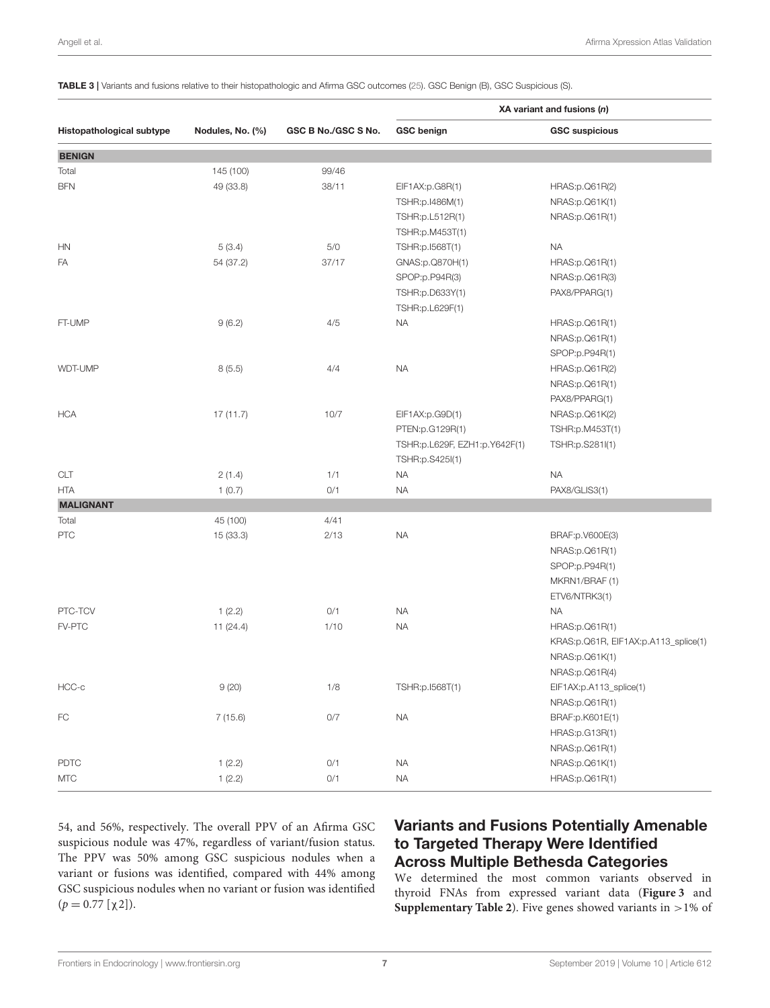|                           |                  |                     | XA variant and fusions (n)    |                                      |  |
|---------------------------|------------------|---------------------|-------------------------------|--------------------------------------|--|
| Histopathological subtype | Nodules, No. (%) | GSC B No./GSC S No. | <b>GSC benign</b>             | <b>GSC suspicious</b>                |  |
| <b>BENIGN</b>             |                  |                     |                               |                                      |  |
| Total                     | 145 (100)        | 99/46               |                               |                                      |  |
| BFN                       | 49 (33.8)        | 38/11               | EIF1AX:p.G8R(1)               | HRAS:p.Q61R(2)                       |  |
|                           |                  |                     | TSHR:p.I486M(1)               | NRAS:p.Q61K(1)                       |  |
|                           |                  |                     | TSHR:p.L512R(1)               | NRAS:p.Q61R(1)                       |  |
|                           |                  |                     | TSHR:p.M453T(1)               |                                      |  |
| ΗN                        | 5(3.4)           | $5/0$               | TSHR:p.I568T(1)               | <b>NA</b>                            |  |
| FA                        | 54 (37.2)        | 37/17               | GNAS:p.Q870H(1)               | HRAS:p.Q61R(1)                       |  |
|                           |                  |                     | SPOP:p.P94R(3)                | NRAS:p.Q61R(3)                       |  |
|                           |                  |                     | TSHR:p.D633Y(1)               | PAX8/PPARG(1)                        |  |
|                           |                  |                     | TSHR:p.L629F(1)               |                                      |  |
| FT-UMP                    | 9(6.2)           | 4/5                 | <b>NA</b>                     | HRAS:p.Q61R(1)                       |  |
|                           |                  |                     |                               | NRAS:p.Q61R(1)                       |  |
|                           |                  |                     |                               | SPOP:p.P94R(1)                       |  |
| WDT-UMP                   | 8(5.5)           | 4/4                 | <b>NA</b>                     | HRAS:p.Q61R(2)                       |  |
|                           |                  |                     |                               | NRAS:p.Q61R(1)                       |  |
|                           |                  |                     |                               | PAX8/PPARG(1)                        |  |
| HCA                       | 17(11.7)         | 10/7                | EIF1AX:p.G9D(1)               | NRAS:p.Q61K(2)                       |  |
|                           |                  |                     | PTEN:p.G129R(1)               | TSHR:p.M453T(1)                      |  |
|                           |                  |                     | TSHR:p.L629F, EZH1:p.Y642F(1) | TSHR:p.S281I(1)                      |  |
|                           |                  |                     | TSHR:p.S425I(1)               |                                      |  |
| CLT                       | 2(1.4)           | 1/1                 | <b>NA</b>                     | <b>NA</b>                            |  |
| HTA                       | 1(0.7)           | 0/1                 | <b>NA</b>                     | PAX8/GLIS3(1)                        |  |
| <b>MALIGNANT</b>          |                  |                     |                               |                                      |  |
| Total                     | 45 (100)         | 4/41                |                               |                                      |  |
| PTC                       | 15 (33.3)        | 2/13                | <b>NA</b>                     | BRAF:p.V600E(3)                      |  |
|                           |                  |                     |                               | NRAS:p.Q61R(1)                       |  |
|                           |                  |                     |                               | SPOP:p.P94R(1)                       |  |
|                           |                  |                     |                               | MKRN1/BRAF (1)                       |  |
|                           |                  |                     |                               | ETV6/NTRK3(1)                        |  |
| PTC-TCV                   | 1(2.2)           | 0/1                 | <b>NA</b>                     | <b>NA</b>                            |  |
| <b>FV-PTC</b>             | 11(24.4)         | 1/10                | <b>NA</b>                     | HRAS:p.Q61R(1)                       |  |
|                           |                  |                     |                               | KRAS:p.Q61R, EIF1AX:p.A113_splice(1) |  |
|                           |                  |                     |                               | NRAS:p.Q61K(1)                       |  |
|                           |                  |                     |                               | NRAS:p.Q61R(4)                       |  |
| HCC-c                     | 9(20)            | 1/8                 | TSHR:p.I568T(1)               | EIF1AX:p.A113_splice(1)              |  |
|                           |                  |                     |                               | NRAS:p.Q61R(1)                       |  |
| FC                        | 7(15.6)          | $0/7$               | $\sf NA$                      | BRAF:p.K601E(1)                      |  |
|                           |                  |                     |                               | HRAS:p.G13R(1)                       |  |
|                           |                  |                     |                               | NRAS:p.Q61R(1)                       |  |
| PDTC                      | 1(2.2)           | 0/1                 | <b>NA</b>                     | NRAS:p.Q61K(1)                       |  |
| <b>MTC</b>                | 1(2.2)           | 0/1                 | <b>NA</b>                     | HRAS:p.Q61R(1)                       |  |

<span id="page-6-0"></span>TABLE 3 | Variants and fusions relative to their histopathologic and Afirma GSC outcomes [\(25\)](#page-10-13). GSC Benign (B), GSC Suspicious (S).

54, and 56%, respectively. The overall PPV of an Afirma GSC suspicious nodule was 47%, regardless of variant/fusion status. The PPV was 50% among GSC suspicious nodules when a variant or fusions was identified, compared with 44% among GSC suspicious nodules when no variant or fusion was identified  $(p = 0.77 [\chi 2]).$ 

# Variants and Fusions Potentially Amenable to Targeted Therapy Were Identified Across Multiple Bethesda Categories

We determined the most common variants observed in thyroid FNAs from expressed variant data (**[Figure 3](#page-7-0)** and **[Supplementary Table 2](#page-9-0)**). Five genes showed variants in >1% of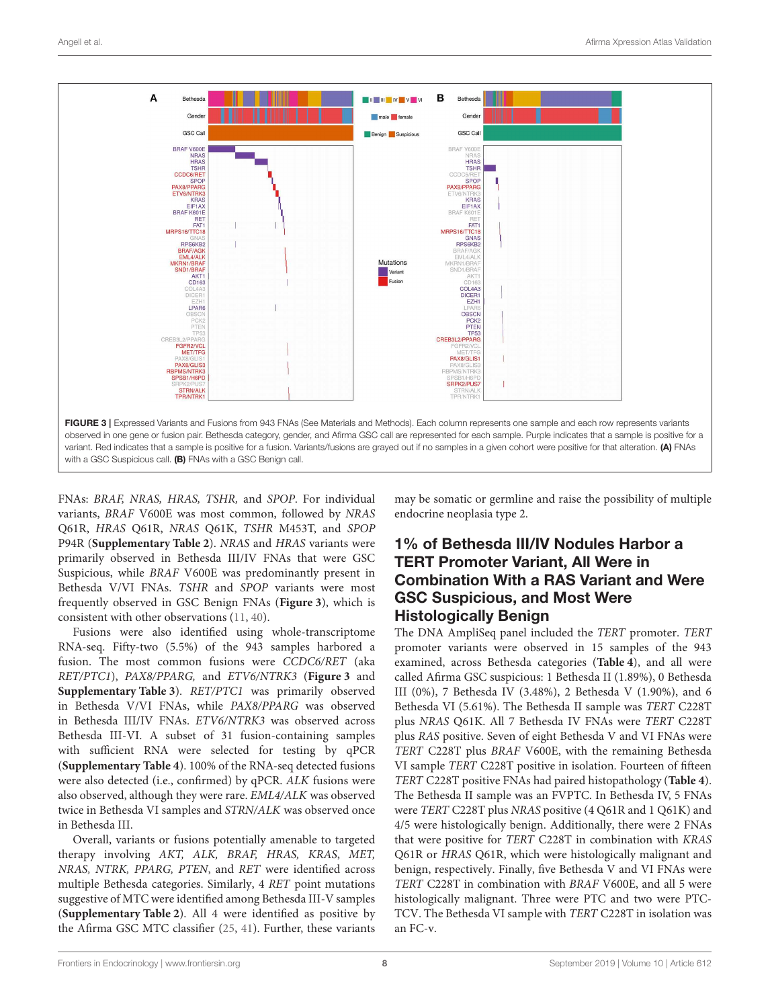

<span id="page-7-0"></span>FNAs: BRAF, NRAS, HRAS, TSHR, and SPOP. For individual variants, BRAF V600E was most common, followed by NRAS Q61R, HRAS Q61R, NRAS Q61K, TSHR M453T, and SPOP P94R (**[Supplementary Table 2](#page-9-0)**). NRAS and HRAS variants were primarily observed in Bethesda III/IV FNAs that were GSC Suspicious, while BRAF V600E was predominantly present in Bethesda V/VI FNAs. TSHR and SPOP variants were most frequently observed in GSC Benign FNAs (**[Figure 3](#page-7-0)**), which is consistent with other observations [\(11,](#page-10-27) [40\)](#page-11-1).

Fusions were also identified using whole-transcriptome RNA-seq. Fifty-two (5.5%) of the 943 samples harbored a fusion. The most common fusions were CCDC6/RET (aka RET/PTC1), PAX8/PPARG, and ETV6/NTRK3 (**[Figure 3](#page-7-0)** and **[Supplementary Table 3](#page-9-0)**). RET/PTC1 was primarily observed in Bethesda V/VI FNAs, while PAX8/PPARG was observed in Bethesda III/IV FNAs. ETV6/NTRK3 was observed across Bethesda III-VI. A subset of 31 fusion-containing samples with sufficient RNA were selected for testing by qPCR (**[Supplementary Table 4](#page-9-0)**). 100% of the RNA-seq detected fusions were also detected (i.e., confirmed) by qPCR. ALK fusions were also observed, although they were rare. EML4/ALK was observed twice in Bethesda VI samples and STRN/ALK was observed once in Bethesda III.

Overall, variants or fusions potentially amenable to targeted therapy involving AKT, ALK, BRAF, HRAS, KRAS, MET, NRAS, NTRK, PPARG, PTEN, and RET were identified across multiple Bethesda categories. Similarly, 4 RET point mutations suggestive of MTC were identified among Bethesda III-V samples (**[Supplementary Table 2](#page-9-0)**). All 4 were identified as positive by the Afirma GSC MTC classifier [\(25,](#page-10-13) [41\)](#page-11-2). Further, these variants may be somatic or germline and raise the possibility of multiple endocrine neoplasia type 2.

# 1% of Bethesda III/IV Nodules Harbor a TERT Promoter Variant, All Were in Combination With a RAS Variant and Were GSC Suspicious, and Most Were Histologically Benign

The DNA AmpliSeq panel included the TERT promoter. TERT promoter variants were observed in 15 samples of the 943 examined, across Bethesda categories (**[Table 4](#page-8-0)**), and all were called Afirma GSC suspicious: 1 Bethesda II (1.89%), 0 Bethesda III (0%), 7 Bethesda IV (3.48%), 2 Bethesda V (1.90%), and 6 Bethesda VI (5.61%). The Bethesda II sample was TERT C228T plus NRAS Q61K. All 7 Bethesda IV FNAs were TERT C228T plus RAS positive. Seven of eight Bethesda V and VI FNAs were TERT C228T plus BRAF V600E, with the remaining Bethesda VI sample TERT C228T positive in isolation. Fourteen of fifteen TERT C228T positive FNAs had paired histopathology (**[Table 4](#page-8-0)**). The Bethesda II sample was an FVPTC. In Bethesda IV, 5 FNAs were TERT C228T plus NRAS positive (4 Q61R and 1 Q61K) and 4/5 were histologically benign. Additionally, there were 2 FNAs that were positive for TERT C228T in combination with KRAS Q61R or HRAS Q61R, which were histologically malignant and benign, respectively. Finally, five Bethesda V and VI FNAs were TERT C228T in combination with BRAF V600E, and all 5 were histologically malignant. Three were PTC and two were PTC-TCV. The Bethesda VI sample with TERT C228T in isolation was an FC-v.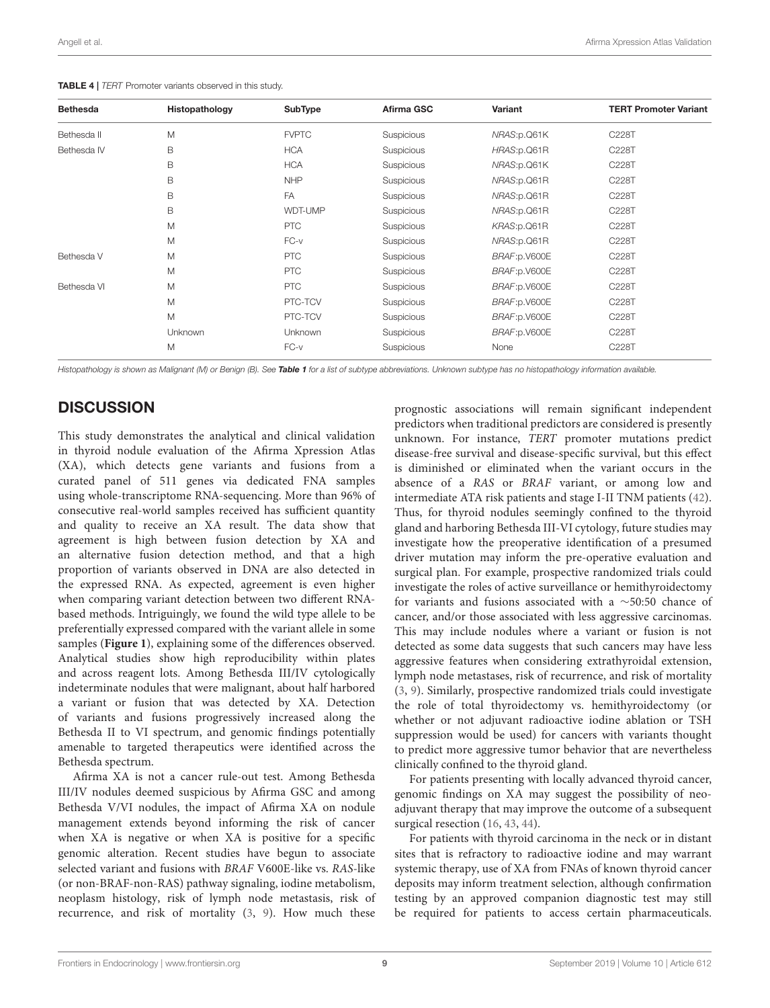<span id="page-8-0"></span>

| <b>Bethesda</b> | Histopathology | SubType      | Afirma GSC        | Variant       | <b>TERT Promoter Variant</b> |
|-----------------|----------------|--------------|-------------------|---------------|------------------------------|
| Bethesda II     | M              | <b>FVPTC</b> | <b>Suspicious</b> | NRAS:p.Q61K   | C228T                        |
| Bethesda IV     | B              | <b>HCA</b>   | Suspicious        | HRAS:p.Q61R   | C228T                        |
|                 | B              | <b>HCA</b>   | Suspicious        | NRAS:p.Q61K   | C228T                        |
|                 | B              | <b>NHP</b>   | Suspicious        | NRAS:p.Q61R   | C228T                        |
|                 | B              | FA           | Suspicious        | NRAS:p.Q61R   | C228T                        |
|                 | B              | WDT-UMP      | <b>Suspicious</b> | NRAS:p.Q61R   | C228T                        |
|                 | M              | <b>PTC</b>   | <b>Suspicious</b> | KRAS:p.Q61R   | C228T                        |
|                 | M              | $FC-v$       | Suspicious        | NRAS:p.Q61R   | C228T                        |
| Bethesda V      | M              | <b>PTC</b>   | Suspicious        | BRAF: p.V600E | C228T                        |
|                 | M              | <b>PTC</b>   | Suspicious        | BRAF: p.V600E | C228T                        |
| Bethesda VI     | M              | <b>PTC</b>   | <b>Suspicious</b> | BRAF: p.V600E | C228T                        |
|                 | M              | PTC-TCV      | Suspicious        | BRAF: p.V600E | C228T                        |
|                 | M              | PTC-TCV      | <b>Suspicious</b> | BRAF: p.V600E | C228T                        |
|                 | Unknown        | Unknown      | Suspicious        | BRAF: p.V600E | C228T                        |
|                 | M              | $FC-v$       | Suspicious        | None          | C228T                        |

*Histopathology is shown as Malignant (M) or Benign (B). See* [Table 1](#page-2-0) *for a list of subtype abbreviations. Unknown subtype has no histopathology information available.*

#### **DISCUSSION**

This study demonstrates the analytical and clinical validation in thyroid nodule evaluation of the Afirma Xpression Atlas (XA), which detects gene variants and fusions from a curated panel of 511 genes via dedicated FNA samples using whole-transcriptome RNA-sequencing. More than 96% of consecutive real-world samples received has sufficient quantity and quality to receive an XA result. The data show that agreement is high between fusion detection by XA and an alternative fusion detection method, and that a high proportion of variants observed in DNA are also detected in the expressed RNA. As expected, agreement is even higher when comparing variant detection between two different RNAbased methods. Intriguingly, we found the wild type allele to be preferentially expressed compared with the variant allele in some samples (**[Figure 1](#page-4-1)**), explaining some of the differences observed. Analytical studies show high reproducibility within plates and across reagent lots. Among Bethesda III/IV cytologically indeterminate nodules that were malignant, about half harbored a variant or fusion that was detected by XA. Detection of variants and fusions progressively increased along the Bethesda II to VI spectrum, and genomic findings potentially amenable to targeted therapeutics were identified across the Bethesda spectrum.

Afirma XA is not a cancer rule-out test. Among Bethesda III/IV nodules deemed suspicious by Afirma GSC and among Bethesda V/VI nodules, the impact of Afirma XA on nodule management extends beyond informing the risk of cancer when XA is negative or when XA is positive for a specific genomic alteration. Recent studies have begun to associate selected variant and fusions with BRAF V600E-like vs. RAS-like (or non-BRAF-non-RAS) pathway signaling, iodine metabolism, neoplasm histology, risk of lymph node metastasis, risk of recurrence, and risk of mortality [\(3,](#page-10-28) [9\)](#page-10-29). How much these prognostic associations will remain significant independent predictors when traditional predictors are considered is presently unknown. For instance, TERT promoter mutations predict disease-free survival and disease-specific survival, but this effect is diminished or eliminated when the variant occurs in the absence of a RAS or BRAF variant, or among low and intermediate ATA risk patients and stage I-II TNM patients [\(42\)](#page-11-3). Thus, for thyroid nodules seemingly confined to the thyroid gland and harboring Bethesda III-VI cytology, future studies may investigate how the preoperative identification of a presumed driver mutation may inform the pre-operative evaluation and surgical plan. For example, prospective randomized trials could investigate the roles of active surveillance or hemithyroidectomy for variants and fusions associated with a ∼50:50 chance of cancer, and/or those associated with less aggressive carcinomas. This may include nodules where a variant or fusion is not detected as some data suggests that such cancers may have less aggressive features when considering extrathyroidal extension, lymph node metastases, risk of recurrence, and risk of mortality [\(3,](#page-10-28) [9\)](#page-10-29). Similarly, prospective randomized trials could investigate the role of total thyroidectomy vs. hemithyroidectomy (or whether or not adjuvant radioactive iodine ablation or TSH suppression would be used) for cancers with variants thought to predict more aggressive tumor behavior that are nevertheless clinically confined to the thyroid gland.

For patients presenting with locally advanced thyroid cancer, genomic findings on XA may suggest the possibility of neoadjuvant therapy that may improve the outcome of a subsequent surgical resection [\(16,](#page-10-4) [43,](#page-11-4) [44\)](#page-11-5).

For patients with thyroid carcinoma in the neck or in distant sites that is refractory to radioactive iodine and may warrant systemic therapy, use of XA from FNAs of known thyroid cancer deposits may inform treatment selection, although confirmation testing by an approved companion diagnostic test may still be required for patients to access certain pharmaceuticals.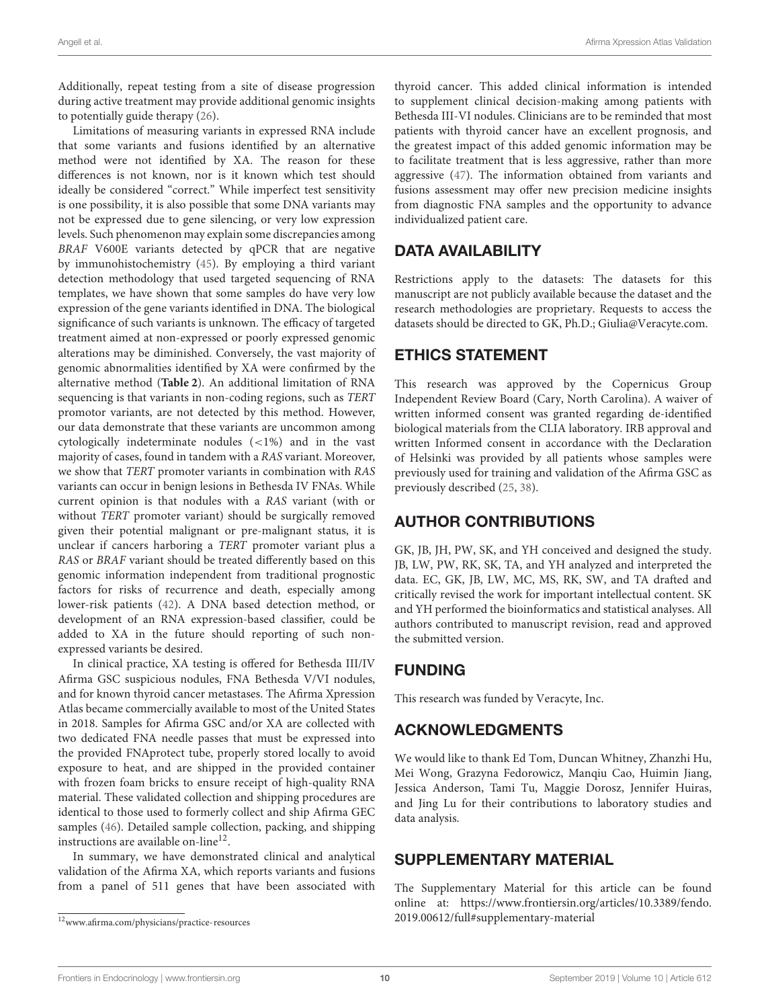Additionally, repeat testing from a site of disease progression during active treatment may provide additional genomic insights to potentially guide therapy [\(26\)](#page-10-14).

Limitations of measuring variants in expressed RNA include that some variants and fusions identified by an alternative method were not identified by XA. The reason for these differences is not known, nor is it known which test should ideally be considered "correct." While imperfect test sensitivity is one possibility, it is also possible that some DNA variants may not be expressed due to gene silencing, or very low expression levels. Such phenomenon may explain some discrepancies among BRAF V600E variants detected by qPCR that are negative by immunohistochemistry [\(45\)](#page-11-6). By employing a third variant detection methodology that used targeted sequencing of RNA templates, we have shown that some samples do have very low expression of the gene variants identified in DNA. The biological significance of such variants is unknown. The efficacy of targeted treatment aimed at non-expressed or poorly expressed genomic alterations may be diminished. Conversely, the vast majority of genomic abnormalities identified by XA were confirmed by the alternative method (**[Table 2](#page-4-0)**). An additional limitation of RNA sequencing is that variants in non-coding regions, such as TERT promotor variants, are not detected by this method. However, our data demonstrate that these variants are uncommon among cytologically indeterminate nodules (<1%) and in the vast majority of cases, found in tandem with a RAS variant. Moreover, we show that TERT promoter variants in combination with RAS variants can occur in benign lesions in Bethesda IV FNAs. While current opinion is that nodules with a RAS variant (with or without TERT promoter variant) should be surgically removed given their potential malignant or pre-malignant status, it is unclear if cancers harboring a TERT promoter variant plus a RAS or BRAF variant should be treated differently based on this genomic information independent from traditional prognostic factors for risks of recurrence and death, especially among lower-risk patients [\(42\)](#page-11-3). A DNA based detection method, or development of an RNA expression-based classifier, could be added to XA in the future should reporting of such nonexpressed variants be desired.

In clinical practice, XA testing is offered for Bethesda III/IV Afirma GSC suspicious nodules, FNA Bethesda V/VI nodules, and for known thyroid cancer metastases. The Afirma Xpression Atlas became commercially available to most of the United States in 2018. Samples for Afirma GSC and/or XA are collected with two dedicated FNA needle passes that must be expressed into the provided FNAprotect tube, properly stored locally to avoid exposure to heat, and are shipped in the provided container with frozen foam bricks to ensure receipt of high-quality RNA material. These validated collection and shipping procedures are identical to those used to formerly collect and ship Afirma GEC samples [\(46\)](#page-11-7). Detailed sample collection, packing, and shipping instructions are available on-line<sup>[12](#page-9-1)</sup>.

In summary, we have demonstrated clinical and analytical validation of the Afirma XA, which reports variants and fusions from a panel of 511 genes that have been associated with thyroid cancer. This added clinical information is intended to supplement clinical decision-making among patients with Bethesda III-VI nodules. Clinicians are to be reminded that most patients with thyroid cancer have an excellent prognosis, and the greatest impact of this added genomic information may be to facilitate treatment that is less aggressive, rather than more aggressive [\(47\)](#page-11-8). The information obtained from variants and fusions assessment may offer new precision medicine insights from diagnostic FNA samples and the opportunity to advance individualized patient care.

#### DATA AVAILABILITY

Restrictions apply to the datasets: The datasets for this manuscript are not publicly available because the dataset and the research methodologies are proprietary. Requests to access the datasets should be directed to GK, Ph.D.; Giulia@Veracyte.com.

#### ETHICS STATEMENT

This research was approved by the Copernicus Group Independent Review Board (Cary, North Carolina). A waiver of written informed consent was granted regarding de-identified biological materials from the CLIA laboratory. IRB approval and written Informed consent in accordance with the Declaration of Helsinki was provided by all patients whose samples were previously used for training and validation of the Afirma GSC as previously described [\(25,](#page-10-13) [38\)](#page-10-26).

### AUTHOR CONTRIBUTIONS

GK, JB, JH, PW, SK, and YH conceived and designed the study. JB, LW, PW, RK, SK, TA, and YH analyzed and interpreted the data. EC, GK, JB, LW, MC, MS, RK, SW, and TA drafted and critically revised the work for important intellectual content. SK and YH performed the bioinformatics and statistical analyses. All authors contributed to manuscript revision, read and approved the submitted version.

#### FUNDING

This research was funded by Veracyte, Inc.

### ACKNOWLEDGMENTS

We would like to thank Ed Tom, Duncan Whitney, Zhanzhi Hu, Mei Wong, Grazyna Fedorowicz, Manqiu Cao, Huimin Jiang, Jessica Anderson, Tami Tu, Maggie Dorosz, Jennifer Huiras, and Jing Lu for their contributions to laboratory studies and data analysis.

#### SUPPLEMENTARY MATERIAL

<span id="page-9-0"></span>The Supplementary Material for this article can be found [online at: https://www.frontiersin.org/articles/10.3389/fendo.](https://www.frontiersin.org/articles/10.3389/fendo.2019.00612/full#supplementary-material) 2019.00612/full#supplementary-material

<span id="page-9-1"></span> $^{12}\rm{www.afirma.com/physicians/practice-resources}$  $^{12}\rm{www.afirma.com/physicians/practice-resources}$  $^{12}\rm{www.afirma.com/physicians/practice-resources}$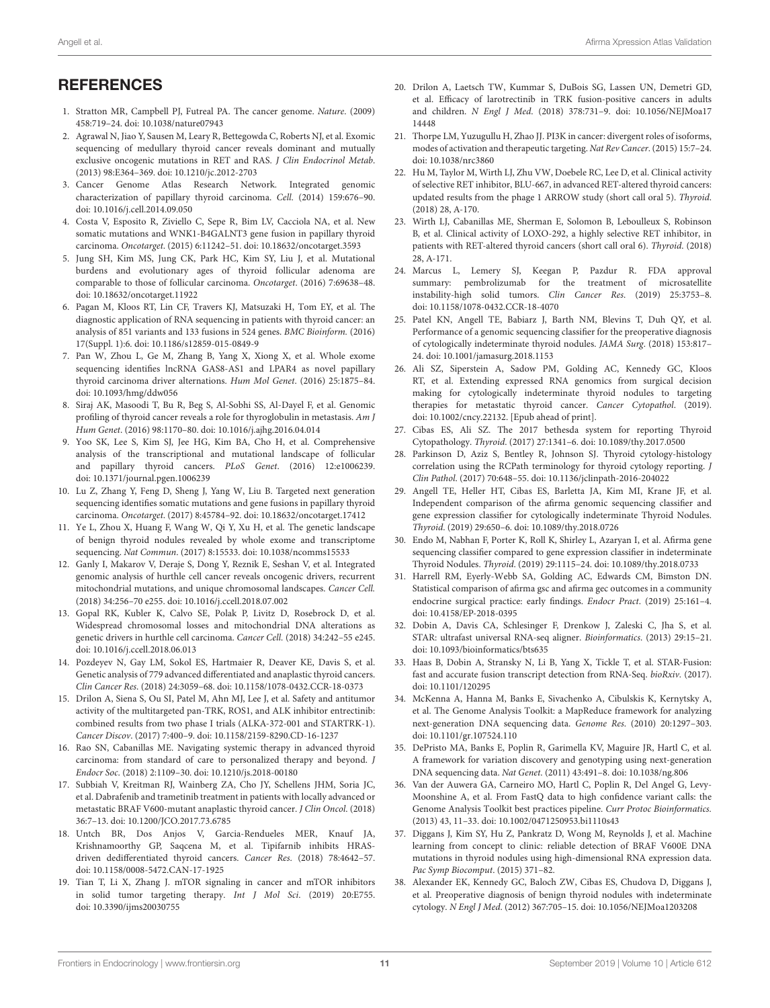#### **REFERENCES**

- <span id="page-10-0"></span>1. Stratton MR, Campbell PJ, Futreal PA. The cancer genome. Nature. (2009) 458:719–24. doi: [10.1038/nature07943](https://doi.org/10.1038/nature07943)
- <span id="page-10-1"></span>2. Agrawal N, Jiao Y, Sausen M, Leary R, Bettegowda C, Roberts NJ, et al. Exomic sequencing of medullary thyroid cancer reveals dominant and mutually exclusive oncogenic mutations in RET and RAS. J Clin Endocrinol Metab. (2013) 98:E364–369. doi: [10.1210/jc.2012-2703](https://doi.org/10.1210/jc.2012-2703)
- <span id="page-10-28"></span>3. Cancer Genome Atlas Research Network. Integrated genomic characterization of papillary thyroid carcinoma. Cell. (2014) 159:676–90. doi: [10.1016/j.cell.2014.09.050](https://doi.org/10.1016/j.cell.2014.09.050)
- 4. Costa V, Esposito R, Ziviello C, Sepe R, Bim LV, Cacciola NA, et al. New somatic mutations and WNK1-B4GALNT3 gene fusion in papillary thyroid carcinoma. Oncotarget. (2015) 6:11242–51. doi: [10.18632/oncotarget.3593](https://doi.org/10.18632/oncotarget.3593)
- 5. Jung SH, Kim MS, Jung CK, Park HC, Kim SY, Liu J, et al. Mutational burdens and evolutionary ages of thyroid follicular adenoma are comparable to those of follicular carcinoma. Oncotarget. (2016) 7:69638–48. doi: [10.18632/oncotarget.11922](https://doi.org/10.18632/oncotarget.11922)
- <span id="page-10-19"></span>6. Pagan M, Kloos RT, Lin CF, Travers KJ, Matsuzaki H, Tom EY, et al. The diagnostic application of RNA sequencing in patients with thyroid cancer: an analysis of 851 variants and 133 fusions in 524 genes. BMC Bioinform. (2016) 17(Suppl. 1):6. doi: [10.1186/s12859-015-0849-9](https://doi.org/10.1186/s12859-015-0849-9)
- 7. Pan W, Zhou L, Ge M, Zhang B, Yang X, Xiong X, et al. Whole exome sequencing identifies lncRNA GAS8-AS1 and LPAR4 as novel papillary thyroid carcinoma driver alternations. Hum Mol Genet. (2016) 25:1875–84. doi: [10.1093/hmg/ddw056](https://doi.org/10.1093/hmg/ddw056)
- 8. Siraj AK, Masoodi T, Bu R, Beg S, Al-Sobhi SS, Al-Dayel F, et al. Genomic profiling of thyroid cancer reveals a role for thyroglobulin in metastasis. Am J Hum Genet. (2016) 98:1170–80. doi: [10.1016/j.ajhg.2016.04.014](https://doi.org/10.1016/j.ajhg.2016.04.014)
- <span id="page-10-29"></span>9. Yoo SK, Lee S, Kim SJ, Jee HG, Kim BA, Cho H, et al. Comprehensive analysis of the transcriptional and mutational landscape of follicular and papillary thyroid cancers. PLoS Genet. (2016) 12:e1006239. doi: [10.1371/journal.pgen.1006239](https://doi.org/10.1371/journal.pgen.1006239)
- 10. Lu Z, Zhang Y, Feng D, Sheng J, Yang W, Liu B. Targeted next generation sequencing identifies somatic mutations and gene fusions in papillary thyroid carcinoma. Oncotarget. (2017) 8:45784–92. doi: [10.18632/oncotarget.17412](https://doi.org/10.18632/oncotarget.17412)
- <span id="page-10-27"></span>11. Ye L, Zhou X, Huang F, Wang W, Qi Y, Xu H, et al. The genetic landscape of benign thyroid nodules revealed by whole exome and transcriptome sequencing. Nat Commun. (2017) 8:15533. doi: [10.1038/ncomms15533](https://doi.org/10.1038/ncomms15533)
- 12. Ganly I, Makarov V, Deraje S, Dong Y, Reznik E, Seshan V, et al. Integrated genomic analysis of hurthle cell cancer reveals oncogenic drivers, recurrent mitochondrial mutations, and unique chromosomal landscapes. Cancer Cell. (2018) 34:256–70 e255. doi: [10.1016/j.ccell.2018.07.002](https://doi.org/10.1016/j.ccell.2018.07.002)
- 13. Gopal RK, Kubler K, Calvo SE, Polak P, Livitz D, Rosebrock D, et al. Widespread chromosomal losses and mitochondrial DNA alterations as genetic drivers in hurthle cell carcinoma. Cancer Cell. (2018) 34:242–55 e245. doi: [10.1016/j.ccell.2018.06.013](https://doi.org/10.1016/j.ccell.2018.06.013)
- <span id="page-10-2"></span>14. Pozdeyev N, Gay LM, Sokol ES, Hartmaier R, Deaver KE, Davis S, et al. Genetic analysis of 779 advanced differentiated and anaplastic thyroid cancers. Clin Cancer Res. (2018) 24:3059–68. doi: [10.1158/1078-0432.CCR-18-0373](https://doi.org/10.1158/1078-0432.CCR-18-0373)
- <span id="page-10-3"></span>15. Drilon A, Siena S, Ou SI, Patel M, Ahn MJ, Lee J, et al. Safety and antitumor activity of the multitargeted pan-TRK, ROS1, and ALK inhibitor entrectinib: combined results from two phase I trials (ALKA-372-001 and STARTRK-1). Cancer Discov. (2017) 7:400–9. doi: [10.1158/2159-8290.CD-16-1237](https://doi.org/10.1158/2159-8290.CD-16-1237)
- <span id="page-10-4"></span>16. Rao SN, Cabanillas ME. Navigating systemic therapy in advanced thyroid carcinoma: from standard of care to personalized therapy and beyond. J Endocr Soc. (2018) 2:1109–30. doi: [10.1210/js.2018-00180](https://doi.org/10.1210/js.2018-00180)
- <span id="page-10-5"></span>17. Subbiah V, Kreitman RJ, Wainberg ZA, Cho JY, Schellens JHM, Soria JC, et al. Dabrafenib and trametinib treatment in patients with locally advanced or metastatic BRAF V600-mutant anaplastic thyroid cancer. J Clin Oncol. (2018) 36:7–13. doi: [10.1200/JCO.2017.73.6785](https://doi.org/10.1200/JCO.2017.73.6785)
- <span id="page-10-6"></span>18. Untch BR, Dos Anjos V, Garcia-Rendueles MER, Knauf JA, Krishnamoorthy GP, Saqcena M, et al. Tipifarnib inhibits HRASdriven dedifferentiated thyroid cancers. Cancer Res. (2018) 78:4642–57. doi: [10.1158/0008-5472.CAN-17-1925](https://doi.org/10.1158/0008-5472.CAN-17-1925)
- <span id="page-10-7"></span>19. Tian T, Li X, Zhang J. mTOR signaling in cancer and mTOR inhibitors in solid tumor targeting therapy. Int J Mol Sci. (2019) 20:E755. doi: [10.3390/ijms20030755](https://doi.org/10.3390/ijms20030755)
- <span id="page-10-8"></span>20. Drilon A, Laetsch TW, Kummar S, DuBois SG, Lassen UN, Demetri GD, et al. Efficacy of larotrectinib in TRK fusion-positive cancers in adults and children. N Engl J Med[. \(2018\) 378:731–9. doi: 10.1056/NEJMoa17](https://doi.org/10.1056/NEJMoa1714448) 14448
- <span id="page-10-9"></span>21. Thorpe LM, Yuzugullu H, Zhao JJ. PI3K in cancer: divergent roles of isoforms, modes of activation and therapeutic targeting. Nat Rev Cancer. (2015) 15:7–24. doi: [10.1038/nrc3860](https://doi.org/10.1038/nrc3860)
- <span id="page-10-10"></span>22. Hu M, Taylor M, Wirth LJ, Zhu VW, Doebele RC, Lee D, et al. Clinical activity of selective RET inhibitor, BLU-667, in advanced RET-altered thyroid cancers: updated results from the phage 1 ARROW study (short call oral 5). Thyroid. (2018) 28, A-170.
- <span id="page-10-11"></span>23. Wirth LJ, Cabanillas ME, Sherman E, Solomon B, Leboulleux S, Robinson B, et al. Clinical activity of LOXO-292, a highly selective RET inhibitor, in patients with RET-altered thyroid cancers (short call oral 6). Thyroid. (2018) 28, A-171.
- <span id="page-10-12"></span>24. Marcus L, Lemery SJ, Keegan P, Pazdur R. FDA approval summary: pembrolizumab for the treatment of microsatellite instability-high solid tumors. Clin Cancer Res. (2019) 25:3753–8. doi: [10.1158/1078-0432.CCR-18-4070](https://doi.org/10.1158/1078-0432.CCR-18-4070)
- <span id="page-10-13"></span>25. Patel KN, Angell TE, Babiarz J, Barth NM, Blevins T, Duh QY, et al. Performance of a genomic sequencing classifier for the preoperative diagnosis of cytologically indeterminate thyroid nodules. JAMA Surg. (2018) 153:817– 24. doi: [10.1001/jamasurg.2018.1153](https://doi.org/10.1001/jamasurg.2018.1153)
- <span id="page-10-14"></span>26. Ali SZ, Siperstein A, Sadow PM, Golding AC, Kennedy GC, Kloos RT, et al. Extending expressed RNA genomics from surgical decision making for cytologically indeterminate thyroid nodules to targeting therapies for metastatic thyroid cancer. Cancer Cytopathol. (2019). doi: [10.1002/cncy.22132.](https://doi.org/10.1002/cncy.22132) [Epub ahead of print].
- <span id="page-10-15"></span>27. Cibas ES, Ali SZ. The 2017 bethesda system for reporting Thyroid Cytopathology. Thyroid. (2017) 27:1341–6. doi: [10.1089/thy.2017.0500](https://doi.org/10.1089/thy.2017.0500)
- <span id="page-10-16"></span>28. Parkinson D, Aziz S, Bentley R, Johnson SJ. Thyroid cytology-histology correlation using the RCPath terminology for thyroid cytology reporting. J Clin Pathol. (2017) 70:648–55. doi: [10.1136/jclinpath-2016-204022](https://doi.org/10.1136/jclinpath-2016-204022)
- <span id="page-10-17"></span>29. Angell TE, Heller HT, Cibas ES, Barletta JA, Kim MI, Krane JF, et al. Independent comparison of the afirma genomic sequencing classifier and gene expression classifier for cytologically indeterminate Thyroid Nodules. Thyroid. (2019) 29:650–6. doi: [10.1089/thy.2018.0726](https://doi.org/10.1089/thy.2018.0726)
- 30. Endo M, Nabhan F, Porter K, Roll K, Shirley L, Azaryan I, et al. Afirma gene sequencing classifier compared to gene expression classifier in indeterminate Thyroid Nodules. Thyroid. (2019) 29:1115–24. doi: [10.1089/thy.2018.0733](https://doi.org/10.1089/thy.2018.0733)
- <span id="page-10-18"></span>31. Harrell RM, Eyerly-Webb SA, Golding AC, Edwards CM, Bimston DN. Statistical comparison of afirma gsc and afirma gec outcomes in a community endocrine surgical practice: early findings. Endocr Pract. (2019) 25:161–4. doi: [10.4158/EP-2018-0395](https://doi.org/10.4158/EP-2018-0395)
- <span id="page-10-20"></span>32. Dobin A, Davis CA, Schlesinger F, Drenkow J, Zaleski C, Jha S, et al. STAR: ultrafast universal RNA-seq aligner. Bioinformatics. (2013) 29:15–21. doi: [10.1093/bioinformatics/bts635](https://doi.org/10.1093/bioinformatics/bts635)
- <span id="page-10-21"></span>33. Haas B, Dobin A, Stransky N, Li B, Yang X, Tickle T, et al. STAR-Fusion: fast and accurate fusion transcript detection from RNA-Seq. bioRxiv. (2017). doi: [10.1101/120295](https://doi.org/10.1101/120295)
- <span id="page-10-22"></span>34. McKenna A, Hanna M, Banks E, Sivachenko A, Cibulskis K, Kernytsky A, et al. The Genome Analysis Toolkit: a MapReduce framework for analyzing next-generation DNA sequencing data. Genome Res. (2010) 20:1297–303. doi: [10.1101/gr.107524.110](https://doi.org/10.1101/gr.107524.110)
- <span id="page-10-23"></span>35. DePristo MA, Banks E, Poplin R, Garimella KV, Maguire JR, Hartl C, et al. A framework for variation discovery and genotyping using next-generation DNA sequencing data. Nat Genet. (2011) 43:491–8. doi: [10.1038/ng.806](https://doi.org/10.1038/ng.806)
- <span id="page-10-24"></span>36. Van der Auwera GA, Carneiro MO, Hartl C, Poplin R, Del Angel G, Levy-Moonshine A, et al. From FastQ data to high confidence variant calls: the Genome Analysis Toolkit best practices pipeline. Curr Protoc Bioinformatics. (2013) 43, 11–33. doi: [10.1002/0471250953.bi1110s43](https://doi.org/10.1002/0471250953.bi1110s43)
- <span id="page-10-25"></span>37. Diggans J, Kim SY, Hu Z, Pankratz D, Wong M, Reynolds J, et al. Machine learning from concept to clinic: reliable detection of BRAF V600E DNA mutations in thyroid nodules using high-dimensional RNA expression data. Pac Symp Biocomput. (2015) 371–82.
- <span id="page-10-26"></span>38. Alexander EK, Kennedy GC, Baloch ZW, Cibas ES, Chudova D, Diggans J, et al. Preoperative diagnosis of benign thyroid nodules with indeterminate cytology. N Engl J Med. (2012) 367:705–15. doi: [10.1056/NEJMoa1203208](https://doi.org/10.1056/NEJMoa1203208)